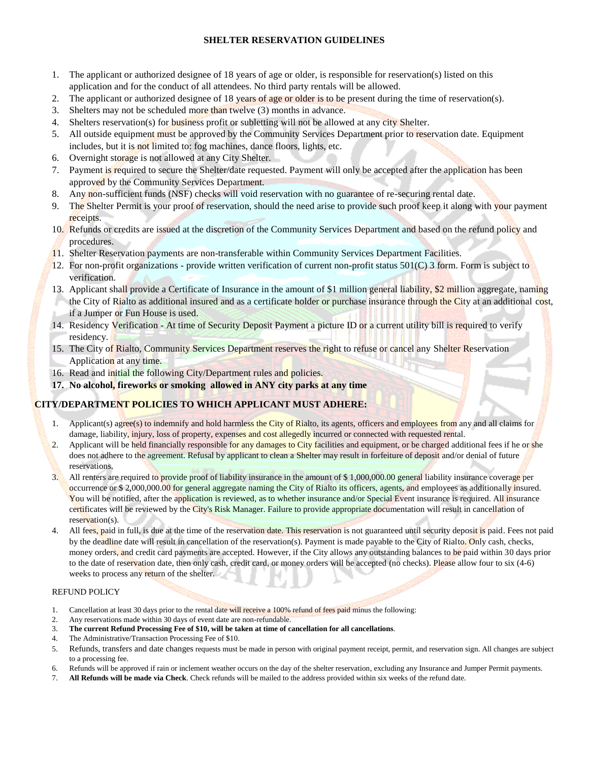## **SHELTER RESERVATION GUIDELINES**

- 1. The applicant or authorized designee of 18 years of age or older, is responsible for reservation(s) listed on this application and for the conduct of all attendees. No third party rentals will be allowed.
- 2. The applicant or authorized designee of 18 years of age or older is to be present during the time of reservation(s).
- 3. Shelters may not be scheduled more than twelve (3) months in advance.
- 4. Shelters reservation(s) for business profit or subletting will not be allowed at any city Shelter.
- 5. All outside equipment must be approved by the Community Services Department prior to reservation date. Equipment includes, but it is not limited to: fog machines, dance floors, lights, etc.
- 6. Overnight storage is not allowed at any City Shelter.
- 7. Payment is required to secure the Shelter/date requested. Payment will only be accepted after the application has been approved by the Community Services Department.
- 8. Any non-sufficient funds (NSF) checks will void reservation with no guarantee of re-securing rental date.
- 9. The Shelter Permit is your proof of reservation, should the need arise to provide such proof keep it along with your payment receipts.
- 10. Refunds or credits are issued at the discretion of the Community Services Department and based on the refund policy and procedures.
- 11. Shelter Reservation payments are non-transferable within Community Services Department Facilities.
- 12. For non-profit organizations provide written verification of current non-profit status  $501(C)$  3 form. Form is subject to verification.
- 13. Applicant shall provide a Certificate of Insurance in the amount of \$1 million general liability, \$2 million aggregate, naming the City of Rialto as additional insured and as a certificate holder or purchase insurance through the City at an additional cost, if a Jumper or Fun House is used.
- 14. Residency Verification At time of Security Deposit Payment a picture ID or a current utility bill is required to verify residency.
- 15. The City of Rialto, Community Services Department reserves the right to refuse or cancel any Shelter Reservation Application at any time.
- 16. Read and initial the following City/Department rules and policies.
- **17. No alcohol, fireworks or smoking allowed in ANY city parks at any time**

## **CITY/DEPARTMENT POLICIES TO WHICH APPLICANT MUST ADHERE:**

- 1. Applicant(s) agree(s) to indemnify and hold harmless the City of Rialto, its agents, officers and employees from any and all claims for damage, liability, injury, loss of property, expenses and cost allegedly incurred or connected with requested rental.
- 2. Applicant will be held financially responsible for any damages to City facilities and equipment, or be charged additional fees if he or she does not adhere to the agreement. Refusal by applicant to clean a Shelter may result in forfeiture of deposit and/or denial of future reservations.
- 3. All renters are required to provide proof of liability insurance in the amount of \$ 1,000,000.00 general liability insurance coverage per occurrence or \$ 2,000,000.00 for general aggregate naming the City of Rialto its officers, agents, and employees as additionally insured. You will be notified, after the application is reviewed, as to whether insurance and/or Special Event insurance is required. All insurance certificates will be reviewed by the City's Risk Manager. Failure to provide appropriate documentation will result in cancellation of reservation(s).
- 4. All fees, paid in full, is due at the time of the reservation date. This reservation is not guaranteed until security deposit is paid. Fees not paid by the deadline date will result in cancellation of the reservation(s). Payment is made payable to the City of Rialto. Only cash, checks, money orders, and credit card payments are accepted. However, if the City allows any outstanding balances to be paid within 30 days prior to the date of reservation date, then only cash, credit card, or money orders will be accepted (no checks). Please allow four to six (4-6) weeks to process any return of the shelter.

### REFUND POLICY

- 1. Cancellation at least 30 days prior to the rental date will receive a 100% refund of fees paid minus the following:
- 2. Any reservations made within 30 days of event date are non-refundable.
- 3. **The current Refund Processing Fee of \$10, will be taken at time of cancellation for all cancellations**.
- 4. The Administrative/Transaction Processing Fee of \$10.
- 5. Refunds, transfers and date changes requests must be made in person with original payment receipt, permit, and reservation sign. All changes are subject to a processing fee.
- 6. Refunds will be approved if rain or inclement weather occurs on the day of the shelter reservation, excluding any Insurance and Jumper Permit payments.
- 7. **All Refunds will be made via Check**. Check refunds will be mailed to the address provided within six weeks of the refund date.